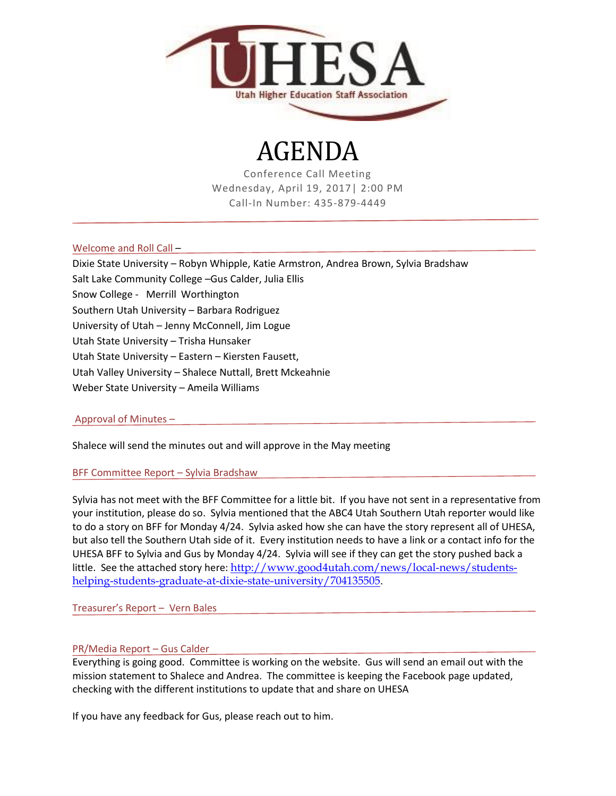

# AGENDA

Conference Call Meeting Wednesday, April 19, 2017| 2:00 PM Call-In Number: 435-879-4449

Welcome and Roll Call –

Dixie State University – Robyn Whipple, Katie Armstron, Andrea Brown, Sylvia Bradshaw

Salt Lake Community College –Gus Calder, Julia Ellis

Snow College - Merrill Worthington

Southern Utah University – Barbara Rodriguez

University of Utah – Jenny McConnell, Jim Logue

Utah State University – Trisha Hunsaker

Utah State University – Eastern – Kiersten Fausett,

Utah Valley University – Shalece Nuttall, Brett Mckeahnie

Weber State University – Ameila Williams

### Approval of Minutes –

Shalece will send the minutes out and will approve in the May meeting

BFF Committee Report – Sylvia Bradshaw

Sylvia has not meet with the BFF Committee for a little bit. If you have not sent in a representative from your institution, please do so. Sylvia mentioned that the ABC4 Utah Southern Utah reporter would like to do a story on BFF for Monday 4/24. Sylvia asked how she can have the story represent all of UHESA, but also tell the Southern Utah side of it. Every institution needs to have a link or a contact info for the UHESA BFF to Sylvia and Gus by Monday 4/24. Sylvia will see if they can get the story pushed back a little. See the attached story here: [http://www.good4utah.com/news/local-news/students](http://www.good4utah.com/news/local-news/students-helping-students-graduate-at-dixie-state-university/704135505)[helping-students-graduate-at-dixie-state-university/704135505.](http://www.good4utah.com/news/local-news/students-helping-students-graduate-at-dixie-state-university/704135505)

Treasurer's Report – Vern Bales

## PR/Media Report – Gus Calder

Everything is going good. Committee is working on the website. Gus will send an email out with the mission statement to Shalece and Andrea. The committee is keeping the Facebook page updated, checking with the different institutions to update that and share on UHESA

If you have any feedback for Gus, please reach out to him.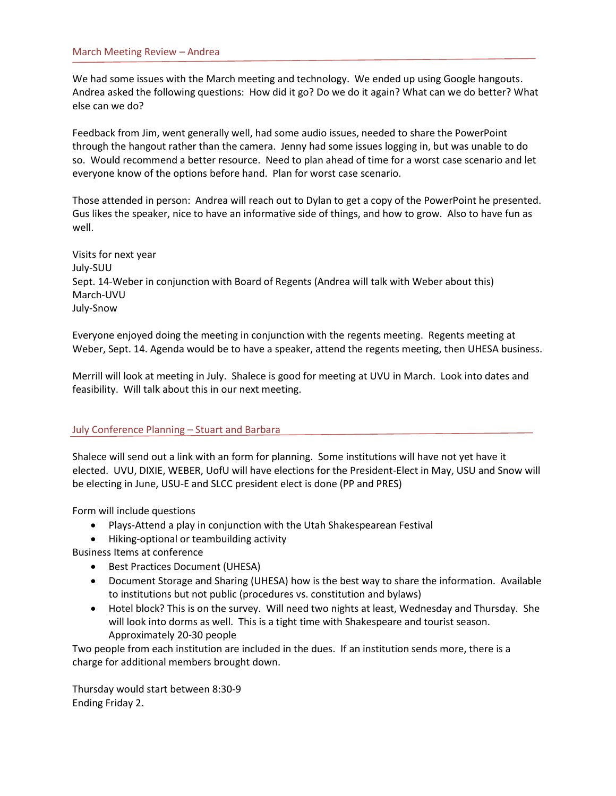We had some issues with the March meeting and technology. We ended up using Google hangouts. Andrea asked the following questions: How did it go? Do we do it again? What can we do better? What else can we do?

Feedback from Jim, went generally well, had some audio issues, needed to share the PowerPoint through the hangout rather than the camera. Jenny had some issues logging in, but was unable to do so. Would recommend a better resource. Need to plan ahead of time for a worst case scenario and let everyone know of the options before hand. Plan for worst case scenario.

Those attended in person: Andrea will reach out to Dylan to get a copy of the PowerPoint he presented. Gus likes the speaker, nice to have an informative side of things, and how to grow. Also to have fun as well.

Visits for next year July-SUU Sept. 14-Weber in conjunction with Board of Regents (Andrea will talk with Weber about this) March-UVU July-Snow

Everyone enjoyed doing the meeting in conjunction with the regents meeting. Regents meeting at Weber, Sept. 14. Agenda would be to have a speaker, attend the regents meeting, then UHESA business.

Merrill will look at meeting in July. Shalece is good for meeting at UVU in March. Look into dates and feasibility. Will talk about this in our next meeting.

### July Conference Planning – Stuart and Barbara

Shalece will send out a link with an form for planning. Some institutions will have not yet have it elected. UVU, DIXIE, WEBER, UofU will have elections for the President-Elect in May, USU and Snow will be electing in June, USU-E and SLCC president elect is done (PP and PRES)

Form will include questions

- Plays-Attend a play in conjunction with the Utah Shakespearean Festival
- Hiking-optional or teambuilding activity

Business Items at conference

- Best Practices Document (UHESA)
- Document Storage and Sharing (UHESA) how is the best way to share the information. Available to institutions but not public (procedures vs. constitution and bylaws)
- Hotel block? This is on the survey. Will need two nights at least, Wednesday and Thursday. She will look into dorms as well. This is a tight time with Shakespeare and tourist season. Approximately 20-30 people

Two people from each institution are included in the dues. If an institution sends more, there is a charge for additional members brought down.

Thursday would start between 8:30-9 Ending Friday 2.